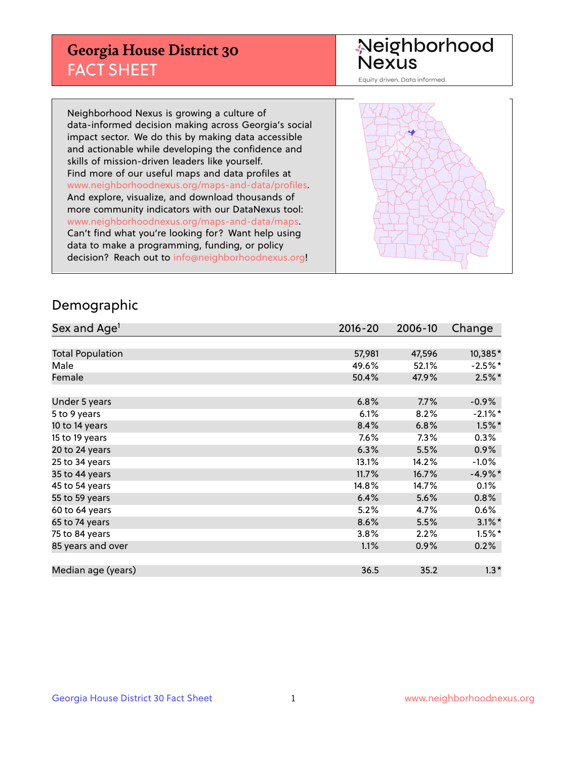## **Georgia House District 30** FACT SHEET

# Neighborhood<br>Nexus

Equity driven. Data informed.

Neighborhood Nexus is growing a culture of data-informed decision making across Georgia's social impact sector. We do this by making data accessible and actionable while developing the confidence and skills of mission-driven leaders like yourself. Find more of our useful maps and data profiles at www.neighborhoodnexus.org/maps-and-data/profiles. And explore, visualize, and download thousands of more community indicators with our DataNexus tool: www.neighborhoodnexus.org/maps-and-data/maps. Can't find what you're looking for? Want help using data to make a programming, funding, or policy decision? Reach out to [info@neighborhoodnexus.org!](mailto:info@neighborhoodnexus.org)



### Demographic

| Sex and Age <sup>1</sup> | $2016 - 20$ | 2006-10 | Change     |
|--------------------------|-------------|---------|------------|
|                          |             |         |            |
| <b>Total Population</b>  | 57,981      | 47,596  | 10,385*    |
| Male                     | 49.6%       | 52.1%   | $-2.5%$ *  |
| Female                   | 50.4%       | 47.9%   | $2.5\%$ *  |
|                          |             |         |            |
| Under 5 years            | 6.8%        | 7.7%    | $-0.9\%$   |
| 5 to 9 years             | 6.1%        | 8.2%    | $-2.1\%$ * |
| 10 to 14 years           | 8.4%        | 6.8%    | $1.5\%$ *  |
| 15 to 19 years           | 7.6%        | 7.3%    | 0.3%       |
| 20 to 24 years           | 6.3%        | 5.5%    | 0.9%       |
| 25 to 34 years           | 13.1%       | 14.2%   | $-1.0%$    |
| 35 to 44 years           | 11.7%       | 16.7%   | $-4.9%$ *  |
| 45 to 54 years           | 14.8%       | 14.7%   | 0.1%       |
| 55 to 59 years           | 6.4%        | 5.6%    | 0.8%       |
| 60 to 64 years           | 5.2%        | 4.7%    | $0.6\%$    |
| 65 to 74 years           | 8.6%        | 5.5%    | $3.1\%$ *  |
| 75 to 84 years           | 3.8%        | 2.2%    | $1.5\%$ *  |
| 85 years and over        | 1.1%        | 0.9%    | 0.2%       |
|                          |             |         |            |
| Median age (years)       | 36.5        | 35.2    | $1.3*$     |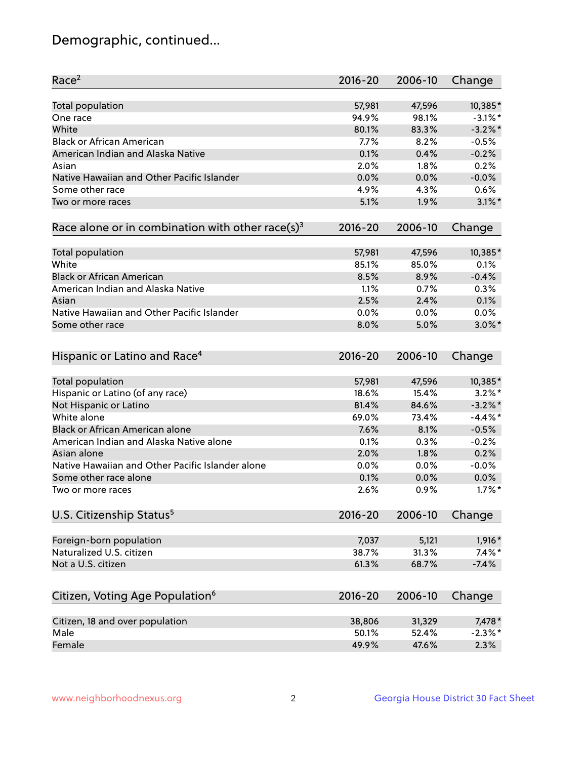## Demographic, continued...

| Race <sup>2</sup>                                            | $2016 - 20$ | 2006-10 | Change     |
|--------------------------------------------------------------|-------------|---------|------------|
| <b>Total population</b>                                      | 57,981      | 47,596  | 10,385*    |
| One race                                                     | 94.9%       | 98.1%   | $-3.1\%$ * |
| White                                                        | 80.1%       | 83.3%   | $-3.2\%$ * |
| <b>Black or African American</b>                             | 7.7%        | 8.2%    | $-0.5%$    |
| American Indian and Alaska Native                            | 0.1%        | 0.4%    | $-0.2%$    |
| Asian                                                        | 2.0%        | 1.8%    | 0.2%       |
| Native Hawaiian and Other Pacific Islander                   | 0.0%        | 0.0%    | $-0.0%$    |
| Some other race                                              | 4.9%        | 4.3%    | 0.6%       |
| Two or more races                                            | 5.1%        | 1.9%    | $3.1\%$ *  |
| Race alone or in combination with other race(s) <sup>3</sup> | $2016 - 20$ | 2006-10 | Change     |
| Total population                                             | 57,981      | 47,596  | 10,385*    |
| White                                                        | 85.1%       | 85.0%   | 0.1%       |
| <b>Black or African American</b>                             | 8.5%        | 8.9%    | $-0.4%$    |
| American Indian and Alaska Native                            | 1.1%        | 0.7%    | 0.3%       |
| Asian                                                        | 2.5%        | 2.4%    | 0.1%       |
| Native Hawaiian and Other Pacific Islander                   | 0.0%        | 0.0%    | 0.0%       |
| Some other race                                              | 8.0%        | 5.0%    | $3.0\%$ *  |
| Hispanic or Latino and Race <sup>4</sup>                     | $2016 - 20$ | 2006-10 | Change     |
| <b>Total population</b>                                      | 57,981      | 47,596  | 10,385*    |
| Hispanic or Latino (of any race)                             | 18.6%       | 15.4%   | $3.2\%$ *  |
| Not Hispanic or Latino                                       | 81.4%       | 84.6%   | $-3.2\%$ * |
| White alone                                                  | 69.0%       | 73.4%   | $-4.4\%$ * |
| <b>Black or African American alone</b>                       | 7.6%        | 8.1%    | $-0.5%$    |
| American Indian and Alaska Native alone                      | 0.1%        | 0.3%    | $-0.2%$    |
| Asian alone                                                  | 2.0%        | 1.8%    | 0.2%       |
| Native Hawaiian and Other Pacific Islander alone             | $0.0\%$     | 0.0%    | $-0.0%$    |
| Some other race alone                                        | 0.1%        | 0.0%    | 0.0%       |
| Two or more races                                            | 2.6%        | 0.9%    | $1.7\%$ *  |
| U.S. Citizenship Status <sup>5</sup>                         | $2016 - 20$ | 2006-10 | Change     |
| Foreign-born population                                      | 7,037       | 5,121   | 1,916*     |
| Naturalized U.S. citizen                                     | 38.7%       | 31.3%   | $7.4\%$ *  |
| Not a U.S. citizen                                           | 61.3%       | 68.7%   | $-7.4%$    |
|                                                              |             |         |            |
| Citizen, Voting Age Population <sup>6</sup>                  | $2016 - 20$ | 2006-10 | Change     |
| Citizen, 18 and over population                              | 38,806      | 31,329  | 7,478 *    |
| Male                                                         | 50.1%       | 52.4%   | $-2.3\%$ * |
| Female                                                       | 49.9%       | 47.6%   | 2.3%       |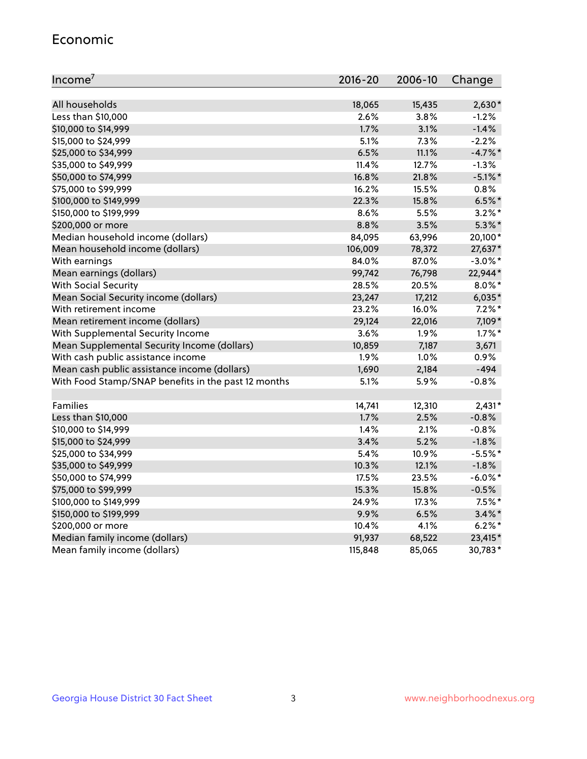#### Economic

| Income <sup>7</sup>                                 | $2016 - 20$ | 2006-10 | Change     |
|-----------------------------------------------------|-------------|---------|------------|
|                                                     |             |         |            |
| All households                                      | 18,065      | 15,435  | $2,630*$   |
| Less than \$10,000                                  | 2.6%        | 3.8%    | $-1.2%$    |
| \$10,000 to \$14,999                                | 1.7%        | 3.1%    | $-1.4%$    |
| \$15,000 to \$24,999                                | 5.1%        | 7.3%    | $-2.2%$    |
| \$25,000 to \$34,999                                | 6.5%        | 11.1%   | $-4.7%$ *  |
| \$35,000 to \$49,999                                | 11.4%       | 12.7%   | $-1.3%$    |
| \$50,000 to \$74,999                                | 16.8%       | 21.8%   | $-5.1\%$ * |
| \$75,000 to \$99,999                                | 16.2%       | 15.5%   | 0.8%       |
| \$100,000 to \$149,999                              | 22.3%       | 15.8%   | $6.5%$ *   |
| \$150,000 to \$199,999                              | 8.6%        | 5.5%    | $3.2\%$ *  |
| \$200,000 or more                                   | 8.8%        | 3.5%    | $5.3\%$ *  |
| Median household income (dollars)                   | 84,095      | 63,996  | 20,100*    |
| Mean household income (dollars)                     | 106,009     | 78,372  | 27,637*    |
| With earnings                                       | 84.0%       | 87.0%   | $-3.0\%$ * |
| Mean earnings (dollars)                             | 99,742      | 76,798  | 22,944*    |
| <b>With Social Security</b>                         | 28.5%       | 20.5%   | $8.0\%$ *  |
| Mean Social Security income (dollars)               | 23,247      | 17,212  | $6,035*$   |
| With retirement income                              | 23.2%       | 16.0%   | $7.2\%$ *  |
| Mean retirement income (dollars)                    | 29,124      | 22,016  | 7,109*     |
| With Supplemental Security Income                   | 3.6%        | 1.9%    | $1.7\%$ *  |
| Mean Supplemental Security Income (dollars)         | 10,859      | 7,187   | 3,671      |
| With cash public assistance income                  | 1.9%        | 1.0%    | 0.9%       |
| Mean cash public assistance income (dollars)        | 1,690       | 2,184   | $-494$     |
| With Food Stamp/SNAP benefits in the past 12 months | 5.1%        | 5.9%    | $-0.8%$    |
|                                                     |             |         |            |
| Families                                            | 14,741      | 12,310  | $2,431*$   |
| Less than \$10,000                                  | 1.7%        | 2.5%    | $-0.8%$    |
| \$10,000 to \$14,999                                | 1.4%        | 2.1%    | $-0.8%$    |
| \$15,000 to \$24,999                                | 3.4%        | 5.2%    | $-1.8%$    |
| \$25,000 to \$34,999                                | 5.4%        | 10.9%   | $-5.5%$ *  |
| \$35,000 to \$49,999                                | 10.3%       | 12.1%   | $-1.8%$    |
| \$50,000 to \$74,999                                | 17.5%       | 23.5%   | $-6.0\%$ * |
| \$75,000 to \$99,999                                | 15.3%       | 15.8%   | $-0.5%$    |
| \$100,000 to \$149,999                              | 24.9%       | 17.3%   | $7.5\%$ *  |
| \$150,000 to \$199,999                              | 9.9%        | 6.5%    | $3.4\%$ *  |
| \$200,000 or more                                   | 10.4%       | 4.1%    | $6.2\%$ *  |
| Median family income (dollars)                      | 91,937      | 68,522  | 23,415*    |
| Mean family income (dollars)                        | 115,848     | 85,065  | 30,783*    |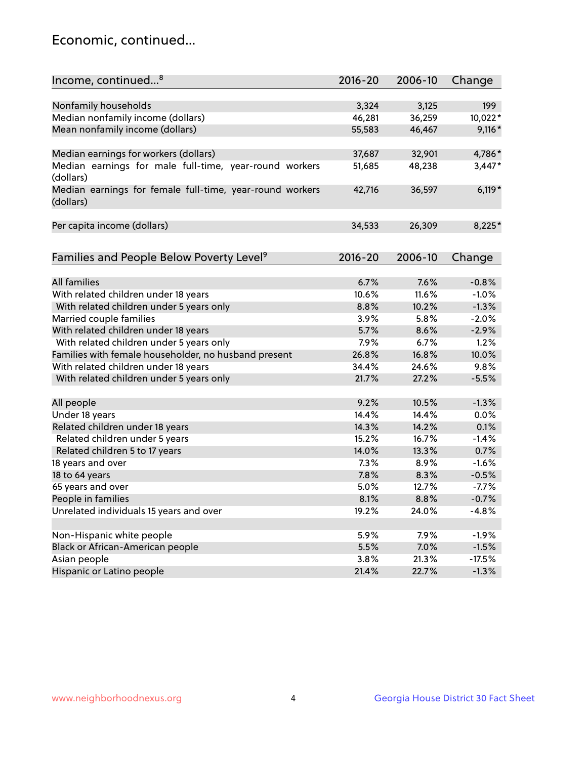## Economic, continued...

| Income, continued <sup>8</sup>                                        | $2016 - 20$ | 2006-10 | Change   |
|-----------------------------------------------------------------------|-------------|---------|----------|
|                                                                       |             |         |          |
| Nonfamily households                                                  | 3,324       | 3,125   | 199      |
| Median nonfamily income (dollars)                                     | 46,281      | 36,259  | 10,022*  |
| Mean nonfamily income (dollars)                                       | 55,583      | 46,467  | $9,116*$ |
| Median earnings for workers (dollars)                                 | 37,687      | 32,901  | 4,786*   |
| Median earnings for male full-time, year-round workers                | 51,685      | 48,238  | $3,447*$ |
| (dollars)<br>Median earnings for female full-time, year-round workers | 42,716      | 36,597  | $6,119*$ |
| (dollars)                                                             |             |         |          |
| Per capita income (dollars)                                           | 34,533      | 26,309  | 8,225*   |
|                                                                       |             |         |          |
| Families and People Below Poverty Level <sup>9</sup>                  | $2016 - 20$ | 2006-10 | Change   |
|                                                                       |             |         |          |
| <b>All families</b>                                                   | 6.7%        | 7.6%    | $-0.8%$  |
| With related children under 18 years                                  | 10.6%       | 11.6%   | $-1.0%$  |
| With related children under 5 years only                              | 8.8%        | 10.2%   | $-1.3%$  |
| Married couple families                                               | 3.9%        | 5.8%    | $-2.0%$  |
| With related children under 18 years                                  | 5.7%        | 8.6%    | $-2.9%$  |
| With related children under 5 years only                              | 7.9%        | 6.7%    | 1.2%     |
| Families with female householder, no husband present                  | 26.8%       | 16.8%   | 10.0%    |
| With related children under 18 years                                  | 34.4%       | 24.6%   | 9.8%     |
| With related children under 5 years only                              | 21.7%       | 27.2%   | $-5.5%$  |
|                                                                       | 9.2%        | 10.5%   | $-1.3%$  |
| All people                                                            |             |         | 0.0%     |
| Under 18 years                                                        | 14.4%       | 14.4%   |          |
| Related children under 18 years                                       | 14.3%       | 14.2%   | 0.1%     |
| Related children under 5 years                                        | 15.2%       | 16.7%   | $-1.4%$  |
| Related children 5 to 17 years                                        | 14.0%       | 13.3%   | 0.7%     |
| 18 years and over                                                     | 7.3%        | 8.9%    | $-1.6%$  |
| 18 to 64 years                                                        | 7.8%        | 8.3%    | $-0.5%$  |
| 65 years and over                                                     | 5.0%        | 12.7%   | $-7.7%$  |
| People in families                                                    | 8.1%        | 8.8%    | $-0.7%$  |
| Unrelated individuals 15 years and over                               | 19.2%       | 24.0%   | $-4.8%$  |
| Non-Hispanic white people                                             | 5.9%        | 7.9%    | $-1.9%$  |
|                                                                       |             |         |          |
| Black or African-American people                                      | 5.5%        | 7.0%    | $-1.5%$  |
| Asian people                                                          | 3.8%        | 21.3%   | $-17.5%$ |
| Hispanic or Latino people                                             | 21.4%       | 22.7%   | $-1.3%$  |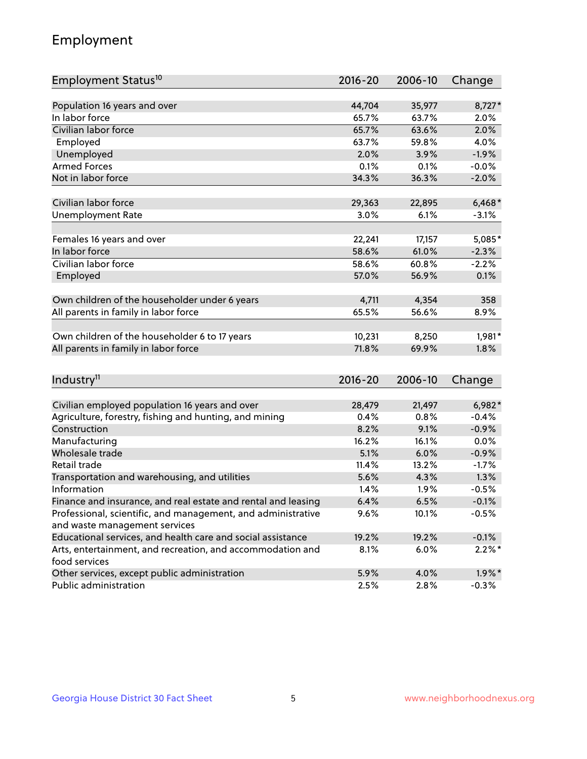## Employment

| Employment Status <sup>10</sup>                                             | $2016 - 20$ | 2006-10 | Change    |
|-----------------------------------------------------------------------------|-------------|---------|-----------|
|                                                                             |             |         |           |
| Population 16 years and over                                                | 44,704      | 35,977  | 8,727*    |
| In labor force                                                              | 65.7%       | 63.7%   | 2.0%      |
| Civilian labor force                                                        | 65.7%       | 63.6%   | 2.0%      |
| Employed                                                                    | 63.7%       | 59.8%   | 4.0%      |
| Unemployed                                                                  | 2.0%        | 3.9%    | $-1.9%$   |
| <b>Armed Forces</b>                                                         | 0.1%        | 0.1%    | $-0.0%$   |
| Not in labor force                                                          | 34.3%       | 36.3%   | $-2.0%$   |
| Civilian labor force                                                        | 29,363      | 22,895  | $6,468*$  |
| <b>Unemployment Rate</b>                                                    | 3.0%        | 6.1%    | $-3.1%$   |
|                                                                             |             |         |           |
| Females 16 years and over                                                   | 22,241      | 17,157  | 5,085*    |
| In labor force                                                              | 58.6%       | 61.0%   | $-2.3%$   |
| Civilian labor force                                                        | 58.6%       | 60.8%   | $-2.2%$   |
| Employed                                                                    | 57.0%       | 56.9%   | 0.1%      |
|                                                                             |             |         |           |
| Own children of the householder under 6 years                               | 4,711       | 4,354   | 358       |
| All parents in family in labor force                                        | 65.5%       | 56.6%   | 8.9%      |
| Own children of the householder 6 to 17 years                               | 10,231      | 8,250   | 1,981*    |
| All parents in family in labor force                                        | 71.8%       | 69.9%   | 1.8%      |
|                                                                             |             |         |           |
| Industry <sup>11</sup>                                                      | $2016 - 20$ | 2006-10 | Change    |
|                                                                             |             |         |           |
| Civilian employed population 16 years and over                              | 28,479      | 21,497  | $6,982*$  |
| Agriculture, forestry, fishing and hunting, and mining                      | 0.4%        | 0.8%    | $-0.4%$   |
| Construction                                                                | 8.2%        | 9.1%    | $-0.9%$   |
| Manufacturing                                                               | 16.2%       | 16.1%   | 0.0%      |
| Wholesale trade                                                             | 5.1%        | 6.0%    | $-0.9%$   |
| Retail trade                                                                | 11.4%       | 13.2%   | $-1.7%$   |
| Transportation and warehousing, and utilities                               | 5.6%        | 4.3%    | 1.3%      |
| Information                                                                 | 1.4%        | 1.9%    | $-0.5%$   |
| Finance and insurance, and real estate and rental and leasing               | 6.4%        | 6.5%    | $-0.1%$   |
| Professional, scientific, and management, and administrative                | 9.6%        | 10.1%   | $-0.5%$   |
| and waste management services                                               |             |         |           |
| Educational services, and health care and social assistance                 | 19.2%       | 19.2%   | $-0.1%$   |
| Arts, entertainment, and recreation, and accommodation and<br>food services | 8.1%        | 6.0%    | $2.2\%$ * |
| Other services, except public administration                                | 5.9%        | 4.0%    | $1.9\%$ * |
| Public administration                                                       | 2.5%        | 2.8%    | $-0.3%$   |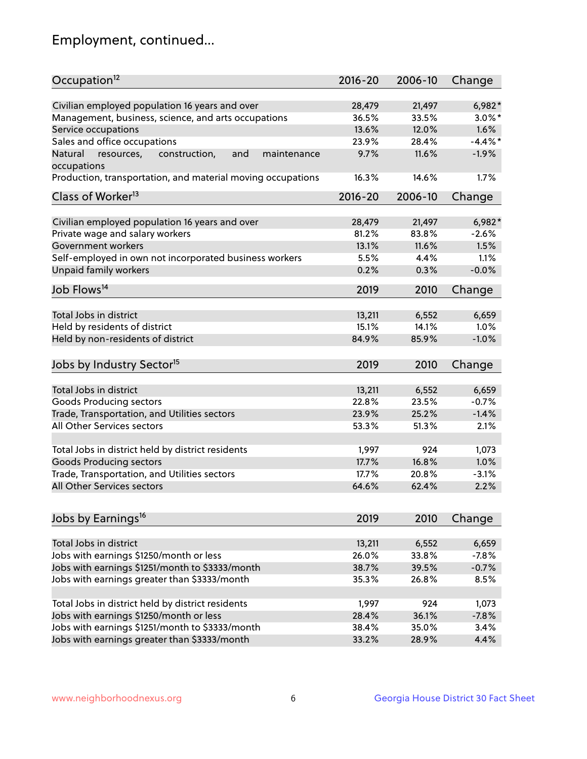## Employment, continued...

| Occupation <sup>12</sup>                                     | $2016 - 20$ | 2006-10 | Change     |
|--------------------------------------------------------------|-------------|---------|------------|
| Civilian employed population 16 years and over               | 28,479      | 21,497  | 6,982*     |
| Management, business, science, and arts occupations          | 36.5%       | 33.5%   | $3.0\%$ *  |
| Service occupations                                          | 13.6%       | 12.0%   | 1.6%       |
| Sales and office occupations                                 | 23.9%       | 28.4%   | $-4.4\%$ * |
| and<br>Natural<br>resources,<br>construction,<br>maintenance | 9.7%        | 11.6%   | $-1.9%$    |
| occupations                                                  |             |         |            |
| Production, transportation, and material moving occupations  | 16.3%       | 14.6%   | 1.7%       |
| Class of Worker <sup>13</sup>                                | $2016 - 20$ | 2006-10 | Change     |
|                                                              |             |         |            |
| Civilian employed population 16 years and over               | 28,479      | 21,497  | $6,982*$   |
| Private wage and salary workers                              | 81.2%       | 83.8%   | $-2.6%$    |
| Government workers                                           | 13.1%       | 11.6%   | 1.5%       |
| Self-employed in own not incorporated business workers       | 5.5%        | 4.4%    | 1.1%       |
| Unpaid family workers                                        | 0.2%        | 0.3%    | $-0.0%$    |
| Job Flows <sup>14</sup>                                      | 2019        | 2010    | Change     |
|                                                              |             |         |            |
| Total Jobs in district                                       | 13,211      | 6,552   | 6,659      |
| Held by residents of district                                | 15.1%       | 14.1%   | 1.0%       |
| Held by non-residents of district                            | 84.9%       | 85.9%   | $-1.0%$    |
| Jobs by Industry Sector <sup>15</sup>                        | 2019        | 2010    | Change     |
|                                                              |             |         |            |
| Total Jobs in district                                       | 13,211      | 6,552   | 6,659      |
| Goods Producing sectors                                      | 22.8%       | 23.5%   | $-0.7%$    |
| Trade, Transportation, and Utilities sectors                 | 23.9%       | 25.2%   | $-1.4%$    |
| All Other Services sectors                                   | 53.3%       | 51.3%   | 2.1%       |
|                                                              |             |         |            |
| Total Jobs in district held by district residents            | 1,997       | 924     | 1,073      |
| <b>Goods Producing sectors</b>                               | 17.7%       | 16.8%   | 1.0%       |
| Trade, Transportation, and Utilities sectors                 | 17.7%       | 20.8%   | $-3.1%$    |
| All Other Services sectors                                   | 64.6%       | 62.4%   | 2.2%       |
| Jobs by Earnings <sup>16</sup>                               | 2019        | 2010    | Change     |
|                                                              |             |         |            |
| Total Jobs in district                                       | 13,211      | 6,552   | 6,659      |
| Jobs with earnings \$1250/month or less                      | 26.0%       | 33.8%   | $-7.8%$    |
| Jobs with earnings \$1251/month to \$3333/month              | 38.7%       | 39.5%   | $-0.7%$    |
| Jobs with earnings greater than \$3333/month                 | 35.3%       | 26.8%   | 8.5%       |
|                                                              |             |         |            |
| Total Jobs in district held by district residents            | 1,997       | 924     | 1,073      |
| Jobs with earnings \$1250/month or less                      | 28.4%       | 36.1%   | $-7.8%$    |
| Jobs with earnings \$1251/month to \$3333/month              | 38.4%       | 35.0%   | 3.4%       |
| Jobs with earnings greater than \$3333/month                 | 33.2%       | 28.9%   | 4.4%       |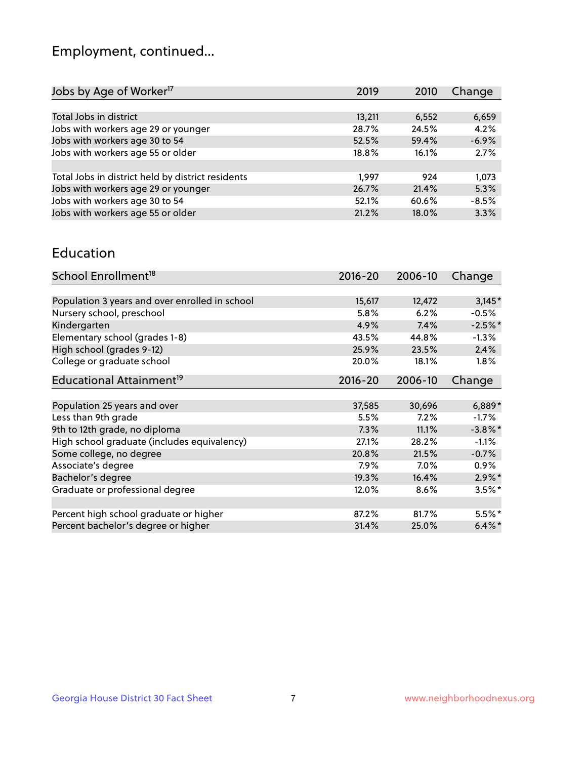## Employment, continued...

| Jobs by Age of Worker <sup>17</sup>               | 2019   | 2010  | Change  |
|---------------------------------------------------|--------|-------|---------|
|                                                   |        |       |         |
| Total Jobs in district                            | 13,211 | 6,552 | 6,659   |
| Jobs with workers age 29 or younger               | 28.7%  | 24.5% | 4.2%    |
| Jobs with workers age 30 to 54                    | 52.5%  | 59.4% | $-6.9%$ |
| Jobs with workers age 55 or older                 | 18.8%  | 16.1% | 2.7%    |
|                                                   |        |       |         |
| Total Jobs in district held by district residents | 1.997  | 924   | 1,073   |
| Jobs with workers age 29 or younger               | 26.7%  | 21.4% | 5.3%    |
| Jobs with workers age 30 to 54                    | 52.1%  | 60.6% | $-8.5%$ |
| Jobs with workers age 55 or older                 | 21.2%  | 18.0% | 3.3%    |
|                                                   |        |       |         |

#### Education

| School Enrollment <sup>18</sup>                | $2016 - 20$ | 2006-10 | Change     |
|------------------------------------------------|-------------|---------|------------|
|                                                |             |         |            |
| Population 3 years and over enrolled in school | 15,617      | 12,472  | $3,145*$   |
| Nursery school, preschool                      | 5.8%        | 6.2%    | $-0.5%$    |
| Kindergarten                                   | 4.9%        | 7.4%    | $-2.5%$ *  |
| Elementary school (grades 1-8)                 | 43.5%       | 44.8%   | $-1.3%$    |
| High school (grades 9-12)                      | 25.9%       | 23.5%   | 2.4%       |
| College or graduate school                     | 20.0%       | 18.1%   | 1.8%       |
| Educational Attainment <sup>19</sup>           | $2016 - 20$ | 2006-10 | Change     |
|                                                |             |         |            |
| Population 25 years and over                   | 37,585      | 30,696  | $6,889*$   |
| Less than 9th grade                            | 5.5%        | 7.2%    | $-1.7\%$   |
| 9th to 12th grade, no diploma                  | 7.3%        | 11.1%   | $-3.8\%$ * |
| High school graduate (includes equivalency)    | 27.1%       | 28.2%   | $-1.1\%$   |
| Some college, no degree                        | 20.8%       | 21.5%   | $-0.7%$    |
| Associate's degree                             | 7.9%        | 7.0%    | 0.9%       |
| Bachelor's degree                              | 19.3%       | 16.4%   | $2.9\%$ *  |
| Graduate or professional degree                | 12.0%       | 8.6%    | $3.5%$ *   |
|                                                |             |         |            |
| Percent high school graduate or higher         | 87.2%       | 81.7%   | $5.5%$ *   |
| Percent bachelor's degree or higher            | 31.4%       | 25.0%   | $6.4\%$ *  |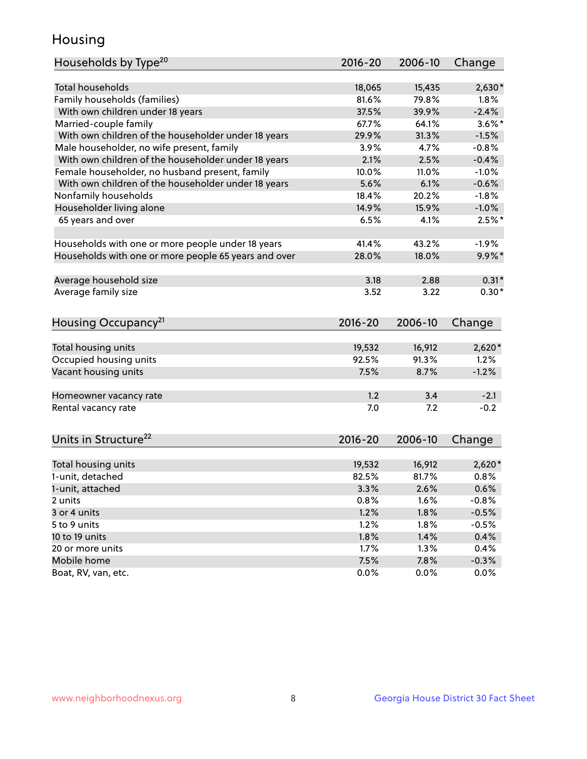## Housing

| Households by Type <sup>20</sup>                     | 2016-20     | 2006-10 | Change    |
|------------------------------------------------------|-------------|---------|-----------|
|                                                      |             |         |           |
| <b>Total households</b>                              | 18,065      | 15,435  | $2,630*$  |
| Family households (families)                         | 81.6%       | 79.8%   | $1.8\%$   |
| With own children under 18 years                     | 37.5%       | 39.9%   | $-2.4%$   |
| Married-couple family                                | 67.7%       | 64.1%   | $3.6\%$ * |
| With own children of the householder under 18 years  | 29.9%       | 31.3%   | $-1.5%$   |
| Male householder, no wife present, family            | 3.9%        | 4.7%    | $-0.8%$   |
| With own children of the householder under 18 years  | 2.1%        | 2.5%    | $-0.4%$   |
| Female householder, no husband present, family       | 10.0%       | 11.0%   | $-1.0%$   |
| With own children of the householder under 18 years  | 5.6%        | 6.1%    | $-0.6%$   |
| Nonfamily households                                 | 18.4%       | 20.2%   | $-1.8%$   |
| Householder living alone                             | 14.9%       | 15.9%   | $-1.0%$   |
| 65 years and over                                    | 6.5%        | 4.1%    | $2.5%$ *  |
|                                                      |             |         |           |
| Households with one or more people under 18 years    | 41.4%       | 43.2%   | $-1.9%$   |
| Households with one or more people 65 years and over | 28.0%       | 18.0%   | $9.9\%$ * |
|                                                      |             |         |           |
| Average household size                               | 3.18        | 2.88    | $0.31*$   |
| Average family size                                  | 3.52        | 3.22    | $0.30*$   |
|                                                      |             |         |           |
| Housing Occupancy <sup>21</sup>                      | 2016-20     | 2006-10 | Change    |
|                                                      |             |         |           |
| Total housing units                                  | 19,532      | 16,912  | $2,620*$  |
| Occupied housing units                               | 92.5%       | 91.3%   | 1.2%      |
| Vacant housing units                                 | 7.5%        | 8.7%    | $-1.2%$   |
|                                                      |             |         |           |
| Homeowner vacancy rate                               | 1.2         | 3.4     | $-2.1$    |
| Rental vacancy rate                                  | 7.0         | 7.2     | $-0.2$    |
|                                                      |             |         |           |
| Units in Structure <sup>22</sup>                     | $2016 - 20$ | 2006-10 | Change    |
|                                                      |             |         |           |
| Total housing units                                  | 19,532      | 16,912  | $2,620*$  |
| 1-unit, detached                                     | 82.5%       | 81.7%   | 0.8%      |
| 1-unit, attached                                     | 3.3%        | 2.6%    | 0.6%      |
| 2 units                                              | 0.8%        | 1.6%    | $-0.8%$   |
| 3 or 4 units                                         | 1.2%        | 1.8%    | $-0.5%$   |
| 5 to 9 units                                         | 1.2%        | 1.8%    | $-0.5%$   |
| 10 to 19 units                                       | 1.8%        | 1.4%    | 0.4%      |
| 20 or more units                                     | 1.7%        | 1.3%    | 0.4%      |
| Mobile home                                          | 7.5%        | 7.8%    | $-0.3%$   |
| Boat, RV, van, etc.                                  | 0.0%        | 0.0%    | 0.0%      |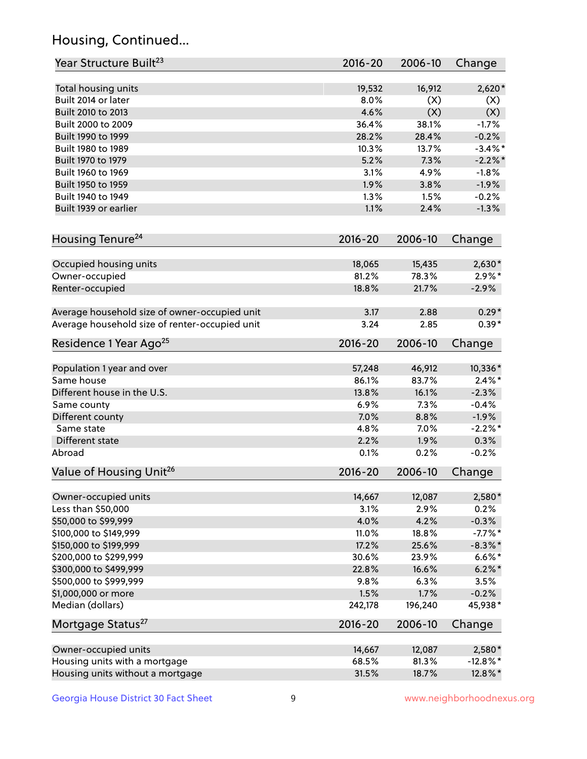## Housing, Continued...

| Year Structure Built <sup>23</sup>             | 2016-20     | 2006-10 | Change      |
|------------------------------------------------|-------------|---------|-------------|
| Total housing units                            | 19,532      | 16,912  | $2,620*$    |
| Built 2014 or later                            | 8.0%        | (X)     | (X)         |
| Built 2010 to 2013                             | 4.6%        | (X)     | (X)         |
| Built 2000 to 2009                             | 36.4%       | 38.1%   | $-1.7%$     |
| Built 1990 to 1999                             | 28.2%       | 28.4%   | $-0.2%$     |
| Built 1980 to 1989                             | 10.3%       | 13.7%   | $-3.4\%$ *  |
| Built 1970 to 1979                             | 5.2%        | 7.3%    | $-2.2%$     |
| Built 1960 to 1969                             | 3.1%        | 4.9%    | $-1.8%$     |
| Built 1950 to 1959                             | 1.9%        | 3.8%    | $-1.9%$     |
| Built 1940 to 1949                             | 1.3%        | 1.5%    | $-0.2%$     |
| Built 1939 or earlier                          | 1.1%        | 2.4%    | $-1.3%$     |
| Housing Tenure <sup>24</sup>                   | $2016 - 20$ | 2006-10 | Change      |
| Occupied housing units                         | 18,065      | 15,435  | $2,630*$    |
| Owner-occupied                                 | 81.2%       | 78.3%   | $2.9\%*$    |
| Renter-occupied                                | 18.8%       | 21.7%   | $-2.9%$     |
| Average household size of owner-occupied unit  | 3.17        | 2.88    | $0.29*$     |
| Average household size of renter-occupied unit | 3.24        | 2.85    | $0.39*$     |
| Residence 1 Year Ago <sup>25</sup>             | $2016 - 20$ | 2006-10 | Change      |
| Population 1 year and over                     | 57,248      | 46,912  | 10,336*     |
| Same house                                     | 86.1%       | 83.7%   | $2.4\%$ *   |
| Different house in the U.S.                    | 13.8%       | 16.1%   | $-2.3%$     |
| Same county                                    | 6.9%        | 7.3%    | $-0.4%$     |
| Different county                               | 7.0%        | 8.8%    | $-1.9%$     |
| Same state                                     | 4.8%        | 7.0%    | $-2.2%$ *   |
| Different state                                | 2.2%        | 1.9%    | 0.3%        |
| Abroad                                         | 0.1%        | 0.2%    | $-0.2%$     |
| Value of Housing Unit <sup>26</sup>            | $2016 - 20$ | 2006-10 | Change      |
| Owner-occupied units                           | 14,667      | 12,087  | 2,580*      |
| Less than \$50,000                             | 3.1%        | 2.9%    | 0.2%        |
| \$50,000 to \$99,999                           | 4.0%        | 4.2%    | $-0.3%$     |
| \$100,000 to \$149,999                         | 11.0%       | 18.8%   | $-7.7%$ *   |
| \$150,000 to \$199,999                         | 17.2%       | 25.6%   | $-8.3\%$ *  |
| \$200,000 to \$299,999                         | 30.6%       | 23.9%   | $6.6\%*$    |
| \$300,000 to \$499,999                         | 22.8%       | 16.6%   | $6.2\% *$   |
| \$500,000 to \$999,999                         | 9.8%        | 6.3%    | 3.5%        |
| \$1,000,000 or more                            | 1.5%        | 1.7%    | $-0.2%$     |
| Median (dollars)                               | 242,178     | 196,240 | 45,938*     |
| Mortgage Status <sup>27</sup>                  | $2016 - 20$ | 2006-10 | Change      |
| Owner-occupied units                           | 14,667      | 12,087  | 2,580*      |
| Housing units with a mortgage                  | 68.5%       | 81.3%   | $-12.8\%$ * |
| Housing units without a mortgage               | 31.5%       | 18.7%   | 12.8%*      |
|                                                |             |         |             |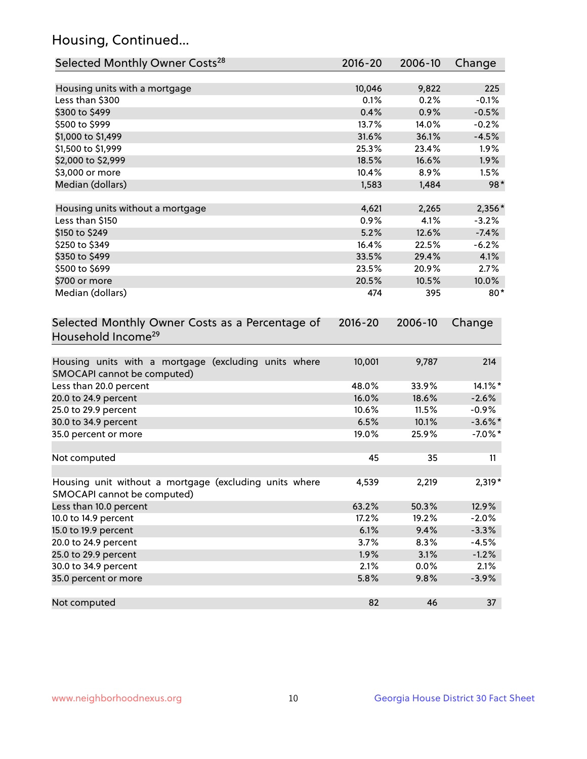## Housing, Continued...

| Selected Monthly Owner Costs <sup>28</sup>                                            | 2016-20     | 2006-10 | Change     |
|---------------------------------------------------------------------------------------|-------------|---------|------------|
| Housing units with a mortgage                                                         | 10,046      | 9,822   | 225        |
| Less than \$300                                                                       | 0.1%        | 0.2%    | $-0.1%$    |
| \$300 to \$499                                                                        | 0.4%        | 0.9%    | $-0.5%$    |
| \$500 to \$999                                                                        | 13.7%       | 14.0%   | $-0.2%$    |
| \$1,000 to \$1,499                                                                    | 31.6%       | 36.1%   | $-4.5%$    |
| \$1,500 to \$1,999                                                                    | 25.3%       | 23.4%   | 1.9%       |
| \$2,000 to \$2,999                                                                    | 18.5%       | 16.6%   | 1.9%       |
| \$3,000 or more                                                                       | 10.4%       | 8.9%    | 1.5%       |
| Median (dollars)                                                                      | 1,583       | 1,484   | 98*        |
|                                                                                       |             |         |            |
| Housing units without a mortgage                                                      | 4,621       | 2,265   | $2,356*$   |
| Less than \$150                                                                       | 0.9%        | 4.1%    | $-3.2%$    |
| \$150 to \$249                                                                        | 5.2%        | 12.6%   | $-7.4%$    |
| \$250 to \$349                                                                        | 16.4%       | 22.5%   | $-6.2%$    |
| \$350 to \$499                                                                        | 33.5%       | 29.4%   | 4.1%       |
| \$500 to \$699                                                                        | 23.5%       | 20.9%   | 2.7%       |
| \$700 or more                                                                         | 20.5%       | 10.5%   | 10.0%      |
| Median (dollars)                                                                      | 474         | 395     | $80*$      |
| Selected Monthly Owner Costs as a Percentage of<br>Household Income <sup>29</sup>     | $2016 - 20$ | 2006-10 | Change     |
| Housing units with a mortgage (excluding units where<br>SMOCAPI cannot be computed)   | 10,001      | 9,787   | 214        |
| Less than 20.0 percent                                                                | 48.0%       | 33.9%   | 14.1%*     |
| 20.0 to 24.9 percent                                                                  | 16.0%       | 18.6%   | $-2.6%$    |
| 25.0 to 29.9 percent                                                                  | 10.6%       | 11.5%   | $-0.9%$    |
| 30.0 to 34.9 percent                                                                  | 6.5%        | 10.1%   | $-3.6\%$ * |
| 35.0 percent or more                                                                  | 19.0%       | 25.9%   | $-7.0\%$ * |
| Not computed                                                                          | 45          | 35      | 11         |
| Housing unit without a mortgage (excluding units where<br>SMOCAPI cannot be computed) | 4,539       | 2,219   | 2,319*     |
| Less than 10.0 percent                                                                | 63.2%       | 50.3%   | 12.9%      |
| 10.0 to 14.9 percent                                                                  | 17.2%       | 19.2%   | $-2.0%$    |
| 15.0 to 19.9 percent                                                                  | 6.1%        | 9.4%    | $-3.3%$    |
| 20.0 to 24.9 percent                                                                  | 3.7%        | 8.3%    | $-4.5%$    |
| 25.0 to 29.9 percent                                                                  | 1.9%        | 3.1%    | $-1.2%$    |
| 30.0 to 34.9 percent                                                                  | 2.1%        | 0.0%    | 2.1%       |
| 35.0 percent or more                                                                  | 5.8%        | 9.8%    | $-3.9%$    |
| Not computed                                                                          | 82          | 46      | 37         |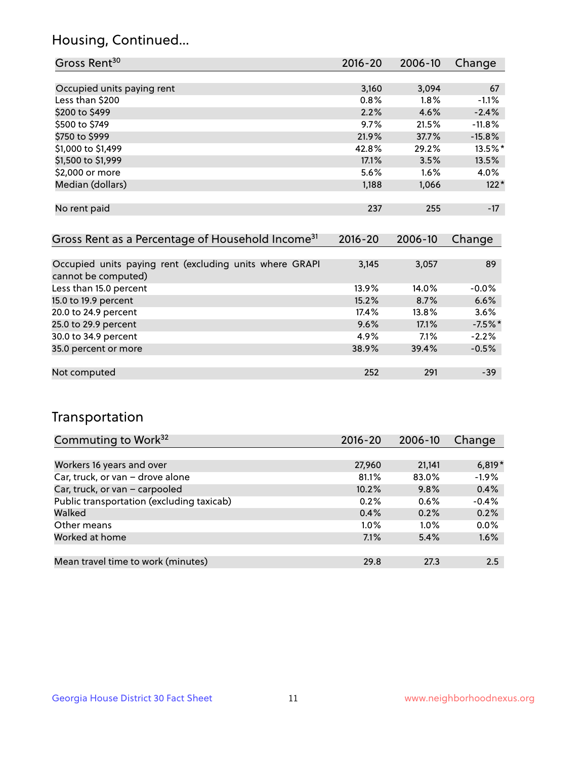## Housing, Continued...

| Gross Rent <sup>30</sup>   | 2016-20 | 2006-10 | Change   |
|----------------------------|---------|---------|----------|
|                            |         |         |          |
| Occupied units paying rent | 3,160   | 3,094   | 67       |
| Less than \$200            | 0.8%    | $1.8\%$ | $-1.1%$  |
| \$200 to \$499             | 2.2%    | 4.6%    | $-2.4%$  |
| \$500 to \$749             | 9.7%    | 21.5%   | $-11.8%$ |
| \$750 to \$999             | 21.9%   | 37.7%   | $-15.8%$ |
| \$1,000 to \$1,499         | 42.8%   | 29.2%   | 13.5%*   |
| \$1,500 to \$1,999         | 17.1%   | 3.5%    | 13.5%    |
| \$2,000 or more            | 5.6%    | 1.6%    | 4.0%     |
| Median (dollars)           | 1,188   | 1,066   | $122*$   |
|                            |         |         |          |
| No rent paid               | 237     | 255     | $-17$    |
|                            |         |         |          |

| Gross Rent as a Percentage of Household Income <sup>31</sup>                   | $2016 - 20$ | 2006-10 | Change    |
|--------------------------------------------------------------------------------|-------------|---------|-----------|
|                                                                                |             |         |           |
| Occupied units paying rent (excluding units where GRAPI<br>cannot be computed) | 3,145       | 3,057   | 89        |
| Less than 15.0 percent                                                         | 13.9%       | 14.0%   | $-0.0%$   |
| 15.0 to 19.9 percent                                                           | 15.2%       | 8.7%    | 6.6%      |
| 20.0 to 24.9 percent                                                           | 17.4%       | 13.8%   | 3.6%      |
| 25.0 to 29.9 percent                                                           | 9.6%        | 17.1%   | $-7.5%$ * |
| 30.0 to 34.9 percent                                                           | 4.9%        | 7.1%    | $-2.2%$   |
| 35.0 percent or more                                                           | 38.9%       | 39.4%   | $-0.5%$   |
|                                                                                |             |         |           |
| Not computed                                                                   | 252         | 291     | $-39$     |

## Transportation

| Commuting to Work <sup>32</sup>           | 2016-20 | 2006-10 | Change   |
|-------------------------------------------|---------|---------|----------|
|                                           |         |         |          |
| Workers 16 years and over                 | 27,960  | 21,141  | $6,819*$ |
| Car, truck, or van - drove alone          | 81.1%   | 83.0%   | $-1.9%$  |
| Car, truck, or van - carpooled            | 10.2%   | 9.8%    | 0.4%     |
| Public transportation (excluding taxicab) | 0.2%    | 0.6%    | $-0.4%$  |
| Walked                                    | 0.4%    | 0.2%    | 0.2%     |
| Other means                               | $1.0\%$ | $1.0\%$ | $0.0\%$  |
| Worked at home                            | 7.1%    | 5.4%    | 1.6%     |
|                                           |         |         |          |
| Mean travel time to work (minutes)        | 29.8    | 27.3    | 2.5      |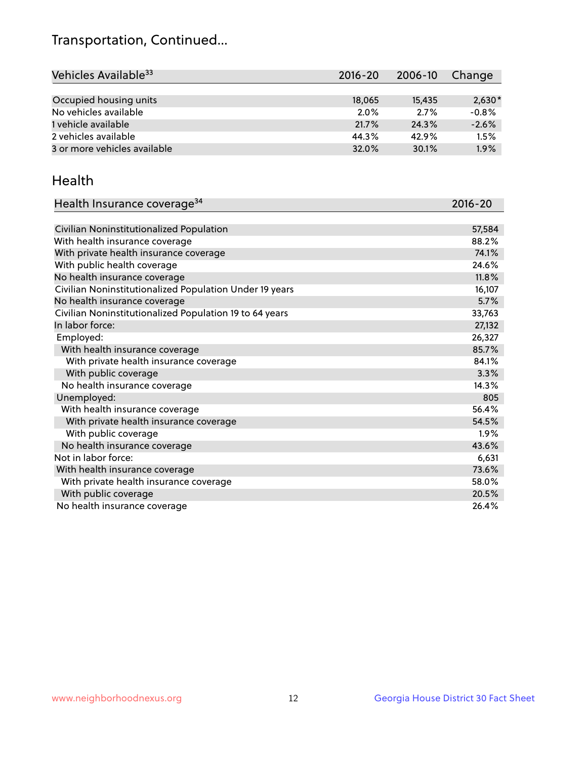## Transportation, Continued...

| Vehicles Available <sup>33</sup> | 2016-20 | 2006-10 | Change   |
|----------------------------------|---------|---------|----------|
|                                  |         |         |          |
| Occupied housing units           | 18,065  | 15,435  | $2,630*$ |
| No vehicles available            | 2.0%    | 2.7%    | $-0.8%$  |
| 1 vehicle available              | 21.7%   | 24.3%   | $-2.6%$  |
| 2 vehicles available             | 44.3%   | 42.9%   | 1.5%     |
| 3 or more vehicles available     | 32.0%   | 30.1%   | 1.9%     |

#### Health

| Health Insurance coverage <sup>34</sup>                 | 2016-20 |
|---------------------------------------------------------|---------|
|                                                         |         |
| Civilian Noninstitutionalized Population                | 57,584  |
| With health insurance coverage                          | 88.2%   |
| With private health insurance coverage                  | 74.1%   |
| With public health coverage                             | 24.6%   |
| No health insurance coverage                            | 11.8%   |
| Civilian Noninstitutionalized Population Under 19 years | 16,107  |
| No health insurance coverage                            | 5.7%    |
| Civilian Noninstitutionalized Population 19 to 64 years | 33,763  |
| In labor force:                                         | 27,132  |
| Employed:                                               | 26,327  |
| With health insurance coverage                          | 85.7%   |
| With private health insurance coverage                  | 84.1%   |
| With public coverage                                    | 3.3%    |
| No health insurance coverage                            | 14.3%   |
| Unemployed:                                             | 805     |
| With health insurance coverage                          | 56.4%   |
| With private health insurance coverage                  | 54.5%   |
| With public coverage                                    | $1.9\%$ |
| No health insurance coverage                            | 43.6%   |
| Not in labor force:                                     | 6,631   |
| With health insurance coverage                          | 73.6%   |
| With private health insurance coverage                  | 58.0%   |
| With public coverage                                    | 20.5%   |
| No health insurance coverage                            | 26.4%   |